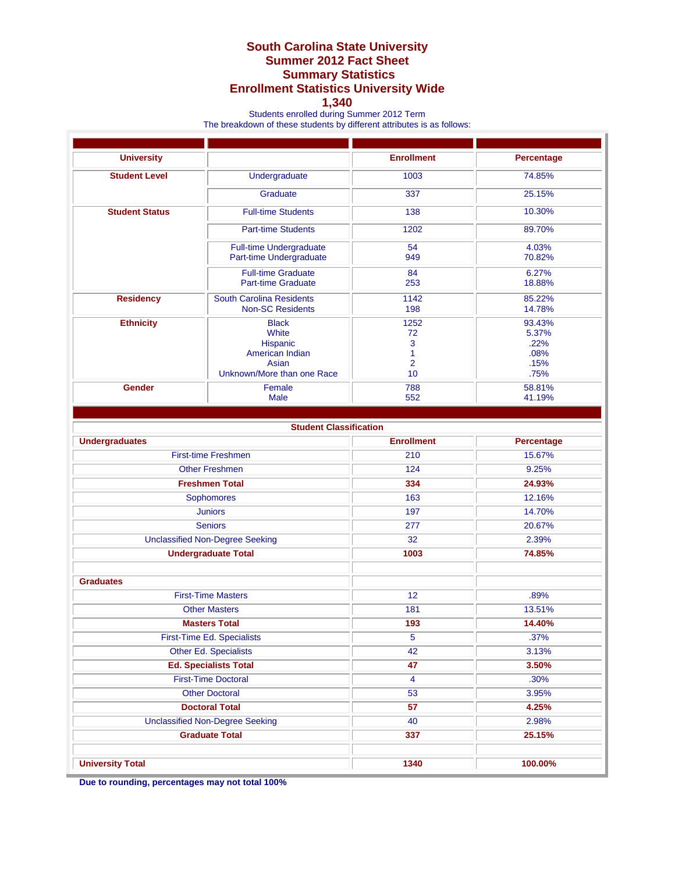## **South Carolina State University Summer 2012 Fact Sheet Summary Statistics Enrollment Statistics University Wide**

## **1,340**

Students enrolled during Summer 2012 Term

The breakdown of these students by different attributes is as follows:

| <b>University</b>                      |                                                                                             | <b>Enrollment</b>                            | Percentage                                      |
|----------------------------------------|---------------------------------------------------------------------------------------------|----------------------------------------------|-------------------------------------------------|
| <b>Student Level</b>                   | Undergraduate                                                                               | 1003                                         | 74.85%                                          |
|                                        | Graduate                                                                                    | 337                                          | 25.15%                                          |
| <b>Student Status</b>                  | <b>Full-time Students</b>                                                                   | 138                                          | 10.30%                                          |
|                                        | <b>Part-time Students</b>                                                                   | 1202                                         | 89.70%                                          |
|                                        | <b>Full-time Undergraduate</b><br>Part-time Undergraduate                                   | 54<br>949                                    | 4.03%<br>70.82%                                 |
|                                        | <b>Full-time Graduate</b><br><b>Part-time Graduate</b>                                      | 84<br>253                                    | 6.27%<br>18.88%                                 |
| <b>Residency</b>                       | <b>South Carolina Residents</b><br><b>Non-SC Residents</b>                                  | 1142<br>198                                  | 85.22%<br>14.78%                                |
| <b>Ethnicity</b>                       | <b>Black</b><br>White<br>Hispanic<br>American Indian<br>Asian<br>Unknown/More than one Race | 1252<br>72<br>3<br>1<br>$\overline{2}$<br>10 | 93.43%<br>5.37%<br>.22%<br>.08%<br>.15%<br>.75% |
| Gender                                 | Female<br><b>Male</b>                                                                       | 788<br>552                                   | 58.81%<br>41.19%                                |
|                                        | <b>Student Classification</b>                                                               |                                              |                                                 |
| <b>Undergraduates</b>                  |                                                                                             | <b>Enrollment</b>                            | Percentage                                      |
|                                        | <b>First-time Freshmen</b>                                                                  | 210                                          | 15.67%                                          |
|                                        | <b>Other Freshmen</b>                                                                       |                                              | 9.25%                                           |
| <b>Freshmen Total</b>                  |                                                                                             | 334                                          | 24.93%                                          |
| Sophomores                             |                                                                                             | 163                                          | 12.16%                                          |
| <b>Juniors</b>                         |                                                                                             | 197                                          | 14.70%                                          |
| <b>Seniors</b>                         |                                                                                             | 277                                          | 20.67%                                          |
| <b>Unclassified Non-Degree Seeking</b> |                                                                                             | $\overline{32}$                              | 2.39%                                           |
| <b>Undergraduate Total</b>             |                                                                                             | 1003                                         | 74.85%                                          |
| <b>Graduates</b>                       |                                                                                             |                                              |                                                 |
| <b>First-Time Masters</b>              |                                                                                             | 12                                           | .89%                                            |
| <b>Other Masters</b>                   |                                                                                             | 181                                          | 13.51%                                          |
|                                        | <b>Masters Total</b>                                                                        | 193                                          | 14.40%                                          |
|                                        | First-Time Ed. Specialists                                                                  | $\overline{5}$                               | .37%                                            |
| Other Ed. Specialists                  |                                                                                             | 42                                           | 3.13%                                           |
|                                        | <b>Ed. Specialists Total</b>                                                                | 47                                           | 3.50%                                           |
| <b>First-Time Doctoral</b>             |                                                                                             | 4                                            | .30%                                            |
| <b>Other Doctoral</b>                  |                                                                                             | 53                                           | 3.95%                                           |
| <b>Doctoral Total</b>                  |                                                                                             | 57                                           | 4.25%                                           |
| <b>Unclassified Non-Degree Seeking</b> |                                                                                             | 40                                           | 2.98%                                           |
| <b>Graduate Total</b>                  |                                                                                             | 337                                          | 25.15%                                          |
| <b>University Total</b>                |                                                                                             | 1340                                         | 100.00%                                         |

**Due to rounding, percentages may not total 100%**